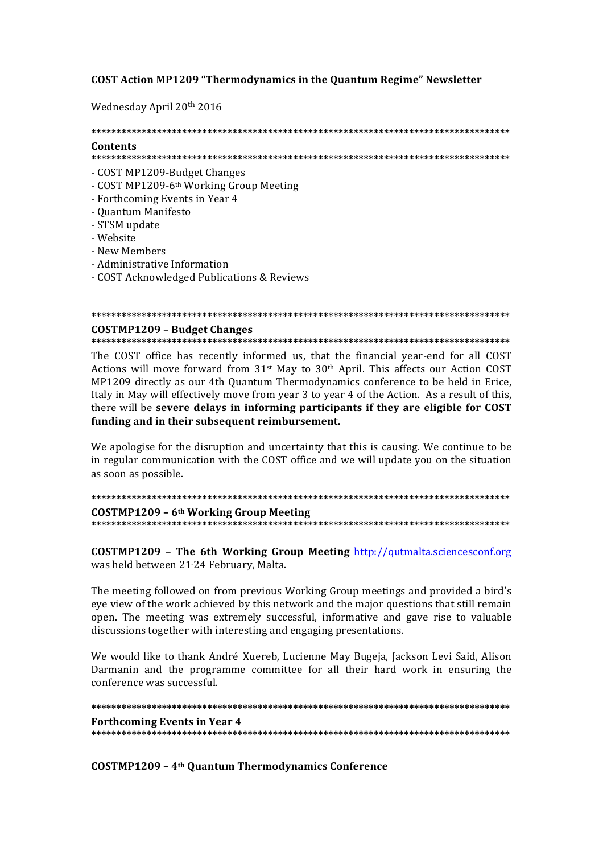### **COST Action MP1209 "Thermodynamics in the Quantum Regime" Newsletter**

Wednesday April 20<sup>th</sup> 2016

## Contents

- COST MP1209-Budget Changes
- COST MP1209-6<sup>th</sup> Working Group Meeting
- Forthcoming Events in Year 4
- Quantum Manifesto
- STSM update
- Website
- New Members
- Administrative Information
- COST Acknowledged Publications & Reviews

#### 

#### **COSTMP1209 - Budget Changes**

The COST office has recently informed us, that the financial vear-end for all COST Actions will move forward from  $31$ <sup>st</sup> May to  $30$ <sup>th</sup> April. This affects our Action COST MP1209 directly as our 4th Quantum Thermodynamics conference to be held in Erice, Italy in May will effectively move from year 3 to year 4 of the Action. As a result of this, there will be severe delays in informing participants if they are eligible for COST funding and in their subsequent reimbursement.

We apologise for the disruption and uncertainty that this is causing. We continue to be in regular communication with the COST office and we will update you on the situation as soon as possible.

COSTMP1209 - 6<sup>th</sup> Working Group Meeting 

 $COSTMP1209$  - The 6th Working Group Meeting  $http://qutmalta.sciencesconf.org$ was held between 21-24 February, Malta.

The meeting followed on from previous Working Group meetings and provided a bird's eye view of the work achieved by this network and the major questions that still remain open. The meeting was extremely successful, informative and gave rise to valuable discussions together with interesting and engaging presentations.

We would like to thank André Xuereb, Lucienne May Bugeja, Jackson Levi Said, Alison Darmanin and the programme committee for all their hard work in ensuring the conference was successful.

**Forthcoming Events in Year 4** 

**COSTMP1209 - 4th Ouantum Thermodynamics Conference**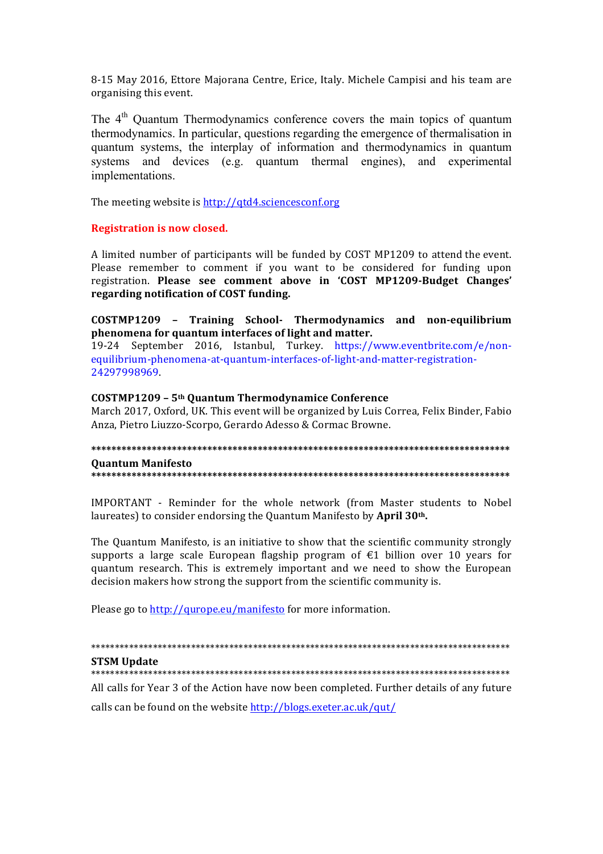8-15 May 2016, Ettore Majorana Centre, Erice, Italy. Michele Campisi and his team are organising this event.

The 4<sup>th</sup> Ouantum Thermodynamics conference covers the main topics of quantum thermodynamics. In particular, questions regarding the emergence of thermalisation in quantum systems, the interplay of information and thermodynamics in quantum systems and devices (e.g. quantum thermal engines), and experimental implementations.

The meeting website is http://qtd4.sciencesconf.org

**Registration is now closed.** 

A limited number of participants will be funded by COST MP1209 to attend the event. Please remember to comment if you want to be considered for funding upon registration. Please see comment above in 'COST MP1209-Budget Changes' regarding notification of COST funding.

COSTMP1209 - Training School- Thermodynamics and non-equilibrium phenomena for quantum interfaces of light and matter.

19-24 September 2016, Istanbul, Turkey. https://www.eventbrite.com/e/nonequilibrium-phenomena-at-quantum-interfaces-of-light-and-matter-registration-24297998969

#### COSTMP1209 - 5<sup>th</sup> Ouantum Thermodynamice Conference

March 2017, Oxford, UK. This event will be organized by Luis Correa, Felix Binder, Fabio Anza, Pietro Liuzzo-Scorpo, Gerardo Adesso & Cormac Browne.

**Ouantum Manifesto** 

IMPORTANT - Reminder for the whole network (from Master students to Nobel laureates) to consider endorsing the Quantum Manifesto by April 30<sup>th</sup>.

The Quantum Manifesto, is an initiative to show that the scientific community strongly supports a large scale European flagship program of  $\epsilon$ 1 billion over 10 years for quantum research. This is extremely important and we need to show the European decision makers how strong the support from the scientific community is.

Please go to http://qurope.eu/manifesto for more information.

**STSM Update** 

All calls for Year 3 of the Action have now been completed. Further details of any future

calls can be found on the website http://blogs.exeter.ac.uk/qut/